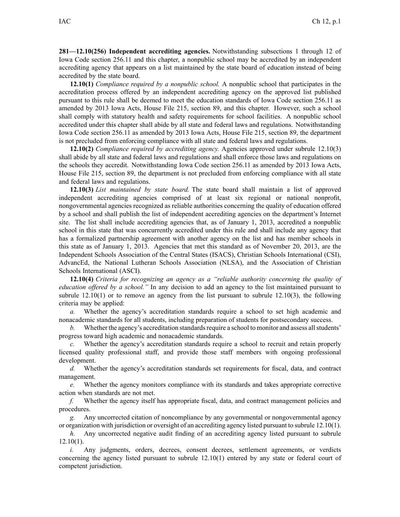**281—12.10(256) Independent accrediting agencies.** Notwithstanding subsections 1 through 12 of Iowa Code section [256.11](https://www.legis.iowa.gov/docs/ico/section/256.11.pdf) and this chapter, <sup>a</sup> nonpublic school may be accredited by an independent accrediting agency that appears on <sup>a</sup> list maintained by the state board of education instead of being accredited by the state board.

**12.10(1)** *Compliance required by <sup>a</sup> nonpublic school.* A nonpublic school that participates in the accreditation process offered by an independent accrediting agency on the approved list published pursuan<sup>t</sup> to this rule shall be deemed to meet the education standards of Iowa Code section [256.11](https://www.legis.iowa.gov/docs/ico/section/256.11.pdf) as amended by 2013 Iowa Acts, House File 215, section 89, and this chapter. However, such <sup>a</sup> school shall comply with statutory health and safety requirements for school facilities. A nonpublic school accredited under this chapter shall abide by all state and federal laws and regulations. Notwithstanding Iowa Code section [256.11](https://www.legis.iowa.gov/docs/ico/section/256.11.pdf) as amended by 2013 Iowa Acts, House File 215, section 89, the department is not precluded from enforcing compliance with all state and federal laws and regulations.

**12.10(2)** *Compliance required by accrediting agency.* Agencies approved under subrule [12.10\(3\)](https://www.legis.iowa.gov/docs/iac/rule/281.12.10.pdf) shall abide by all state and federal laws and regulations and shall enforce those laws and regulations on the schools they accredit. Notwithstanding Iowa Code section [256.11](https://www.legis.iowa.gov/docs/ico/section/256.11.pdf) as amended by 2013 Iowa Acts, House File 215, section 89, the department is not precluded from enforcing compliance with all state and federal laws and regulations.

**12.10(3)** *List maintained by state board.* The state board shall maintain <sup>a</sup> list of approved independent accrediting agencies comprised of at least six regional or national nonprofit, nongovernmental agencies recognized as reliable authorities concerning the quality of education offered by <sup>a</sup> school and shall publish the list of independent accrediting agencies on the department's Internet site. The list shall include accrediting agencies that, as of January 1, 2013, accredited <sup>a</sup> nonpublic school in this state that was concurrently accredited under this rule and shall include any agency that has <sup>a</sup> formalized partnership agreemen<sup>t</sup> with another agency on the list and has member schools in this state as of January 1, 2013. Agencies that met this standard as of November 20, 2013, are the Independent Schools Association of the Central States (ISACS), Christian Schools International (CSI), AdvancEd, the National Lutheran Schools Association (NLSA), and the Association of Christian Schools International (ASCI).

**12.10(4)** *Criteria for recognizing an agency as <sup>a</sup> "reliable authority concerning the quality of education offered by <sup>a</sup> school."* In any decision to add an agency to the list maintained pursuan<sup>t</sup> to subrule  $12.10(1)$  or to remove an agency from the list pursuant to subrule  $12.10(3)$ , the following criteria may be applied:

*a.* Whether the agency's accreditation standards require <sup>a</sup> school to set high academic and nonacademic standards for all students, including preparation of students for postsecondary success.

*b.* Whether the agency's accreditation standards require a school to monitor and assess all students' progress toward high academic and nonacademic standards.

*c.* Whether the agency's accreditation standards require <sup>a</sup> school to recruit and retain properly licensed quality professional staff, and provide those staff members with ongoing professional development.

*d.* Whether the agency's accreditation standards set requirements for fiscal, data, and contract management.

*e.* Whether the agency monitors compliance with its standards and takes appropriate corrective action when standards are not met.

*f.* Whether the agency itself has appropriate fiscal, data, and contract managemen<sup>t</sup> policies and procedures.

*g.* Any uncorrected citation of noncompliance by any governmental or nongovernmental agency or organization with jurisdiction or oversight of an accrediting agency listed pursuan<sup>t</sup> to subrule [12.10\(1\)](https://www.legis.iowa.gov/docs/iac/rule/281.12.10.pdf).

*h.* Any uncorrected negative audit finding of an accrediting agency listed pursuant to subrule [12.10\(1\)](https://www.legis.iowa.gov/docs/iac/rule/281.12.10.pdf).

*i.* Any judgments, orders, decrees, consent decrees, settlement agreements, or verdicts concerning the agency listed pursuan<sup>t</sup> to subrule [12.10\(1\)](https://www.legis.iowa.gov/docs/iac/rule/281.12.10.pdf) entered by any state or federal court of competent jurisdiction.